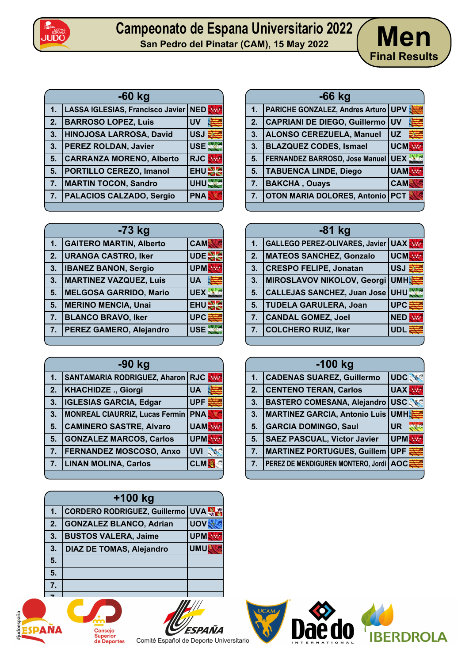

## **Campeonato de Espana Universitario 2022 San Pedro de Espana Universitario 2022** / Men



| $-60$ kg |    |                                        |            |
|----------|----|----------------------------------------|------------|
|          | 1. | LASSA IGLESIAS, Francisco Javier   NED |            |
|          | 2. | <b>BARROSO LOPEZ, Luis</b>             | <b>UV</b>  |
|          | 3. | HINOJOSA LARROSA, David                | <b>USJ</b> |
|          | 3. | <b>PEREZ ROLDAN, Javier</b>            | <b>USE</b> |
|          | 5. | <b>CARRANZA MORENO, Alberto</b>        | <b>RJC</b> |
|          | 5. | <b>PORTILLO CEREZO, Imanol</b>         | <b>EHU</b> |
|          | 7. | <b>MARTIN TOCON, Sandro</b>            | <b>UHU</b> |
|          | 7. | <b>PALACIOS CALZADO, Sergio</b>        | <b>PNA</b> |
|          |    |                                        |            |

| -73 kg |                                |            |  |
|--------|--------------------------------|------------|--|
| 1.     | <b>GAITERO MARTIN, Alberto</b> | <b>CAM</b> |  |
| 2.     | <b>URANGA CASTRO, Iker</b>     | UDE        |  |
| 3.     | <b>IBANEZ BANON, Sergio</b>    | <b>UPM</b> |  |
| 3.     | <b>MARTINEZ VAZQUEZ, Luis</b>  | <b>UA</b>  |  |
| 5.     | <b>MELGOSA GARRIDO, Mario</b>  | <b>UEX</b> |  |
| 5.     | <b>MERINO MENCIA, Unai</b>     | <b>EHU</b> |  |
| 7.     | <b>BLANCO BRAVO, Iker</b>      | <b>UPC</b> |  |
| 7.     | PEREZ GAMERO, Alejandro        | <b>USE</b> |  |
|        |                                |            |  |

| -90 kg |                                       |            |
|--------|---------------------------------------|------------|
| 1.     | <b>SANTAMARIA RODRIGUEZ, Aharon</b>   | <b>RJC</b> |
| 2.     | <b>KHACHIDZE., Giorgi</b>             | <b>UA</b>  |
| 3.     | <b>IGLESIAS GARCIA, Edgar</b>         | <b>UPF</b> |
| 3.     | <b>MONREAL CIAURRIZ, Lucas Fermin</b> | <b>PNA</b> |
| 5.     | <b>CAMINERO SASTRE, Alvaro</b>        | <b>UAM</b> |
| 5.     | <b>GONZALEZ MARCOS, Carlos</b>        | <b>UPM</b> |
| 7.7    | <b>FERNANDEZ MOSCOSO, Anxo</b>        | <b>UVI</b> |
| 7.     | <b>LINAN MOLINA, Carlos</b>           | <b>CLM</b> |
|        |                                       |            |

| +100 kg |                                 |            |  |
|---------|---------------------------------|------------|--|
|         | CORDERO RODRIGUEZ, Guillermo    | UVA        |  |
| 2.      | <b>GONZALEZ BLANCO, Adrian</b>  | <b>UOV</b> |  |
| 3.      | <b>BUSTOS VALERA, Jaime</b>     | <b>UPM</b> |  |
| 3.      | <b>DIAZ DE TOMAS, Alejandro</b> | <b>UMU</b> |  |
| 5.      |                                 |            |  |
| 5.      |                                 |            |  |
| 7.      |                                 |            |  |





| $-66$ kg |                                            |            |  |
|----------|--------------------------------------------|------------|--|
| 1.       | <b>PARICHE GONZALEZ, Andres Arturo UPV</b> |            |  |
| 2.       | <b>CAPRIANI DE DIEGO, Guillermo</b>        | <b>UV</b>  |  |
| 3.       | ALONSO CEREZUELA, Manuel                   | <b>UZ</b>  |  |
| 3.       | <b>BLAZQUEZ CODES, Ismael</b>              | <b>UCM</b> |  |
| 5.       | <b>FERNANDEZ BARROSO, Jose Manuel</b>      | UEX .      |  |
| 5.       | <b>TABUENCA LINDE, Diego</b>               | <b>UAM</b> |  |
| 7.       | <b>BAKCHA, Ouays</b>                       | <b>CAM</b> |  |
| 7.       | <b>OTON MARIA DOLORES, Antonio PCT</b>     |            |  |
|          |                                            |            |  |

| $-81$ kg |                                    |            |  |
|----------|------------------------------------|------------|--|
| 1.       | GALLEGO PEREZ-OLIVARES, Javier UAX |            |  |
| 2.       | MATEOS SANCHEZ, Gonzalo            | <b>UCM</b> |  |
| 3.       | <b>CRESPO FELIPE, Jonatan</b>      | <b>USJ</b> |  |
| 3.       | MIROSLAVOV NIKOLOV, Georgi UMH     |            |  |
| 5.       | CALLEJAS SANCHEZ, Juan Jose UHU    |            |  |
| 5.       | <b>TUDELA GARULERA, Joan</b>       | <b>UPC</b> |  |
| 7.       | <b>CANDAL GOMEZ, Joel</b>          | <b>NED</b> |  |
| 7.       | <b>COLCHERO RUIZ, Iker</b>         | <b>UDI</b> |  |
|          |                                    |            |  |

| $-100$ kg |                                      |            |
|-----------|--------------------------------------|------------|
| 1.        | <b>CADENAS SUAREZ, Guillermo</b>     | <b>UDC</b> |
| 2.        | <b>CENTENO TERAN, Carlos</b>         | UAX **     |
| 3.        | <b>BASTERO COMESANA, Alejandro</b>   | <b>USC</b> |
| 3.        | <b>MARTINEZ GARCIA, Antonio Luis</b> | <b>UMH</b> |
| 5.        | <b>GARCIA DOMINGO, Saul</b>          | <b>UR</b>  |
| 5.        | <b>SAEZ PASCUAL, Victor Javier</b>   | <b>UPM</b> |
| 7.        | <b>MARTINEZ PORTUGUES, Guillem</b>   | <b>UPF</b> |
| 7.        | PEREZ DE MENDIGUREN MONTERO, Jordi   | <b>AOC</b> |
|           |                                      |            |